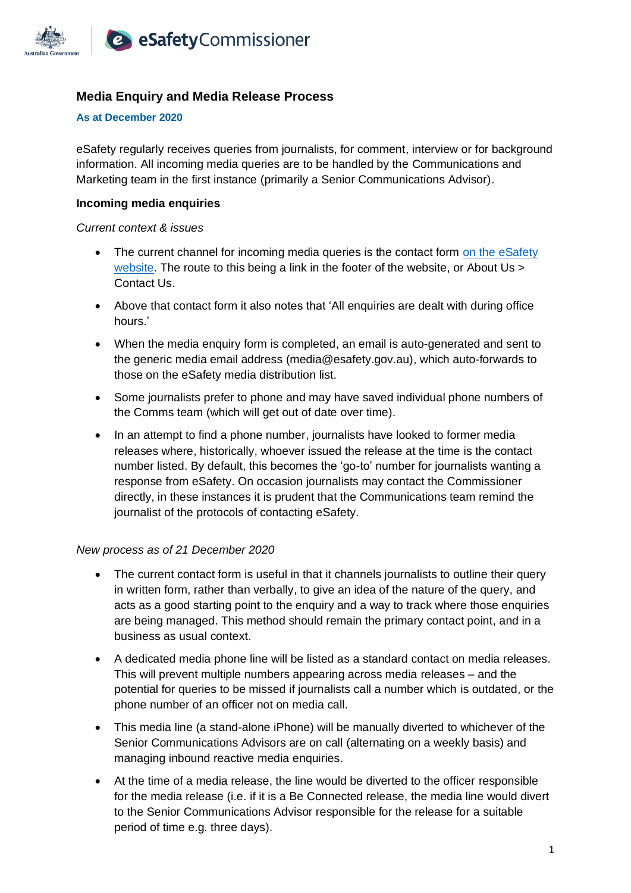

# **Media Enquiry and Media Release Process**

#### **As at December 2020**

eSafety regularly receives queries from journalists, for comment, interview or for background information. All incoming media queries are to be handled by the Communications and Marketing team in the first instance (primarily a Senior Communications Advisor).

### **Incoming media enquiries**

#### *Current context & issues*

- The current channel for incoming media queries is the contact form on the eSafety website. The route to this being a link in the footer of the website, or About Us > Contact Us.
- Above that contact form it also notes that 'All enquiries are dealt with during office hours.'
- When the media enquiry form is completed, an email is auto-generated and sent to the generic media email address (media@esafety.gov.au), which auto-forwards to those on the eSafety media distribution list.
- Some journalists prefer to phone and may have saved individual phone numbers of the Comms team (which will get out of date over time).
- In an attempt to find a phone number, journalists have looked to former media releases where, historically, whoever issued the release at the time is the contact number listed. By default, this becomes the 'go-to' number for journalists wanting a response from eSafety. On occasion journalists may contact the Commissioner directly, in these instances it is prudent that the Communications team remind the journalist of the protocols of contacting eSafety.

### *New process as of 21 December 2020*

- The current contact form is useful in that it channels journalists to outline their query in written form, rather than verbally, to give an idea of the nature of the query, and acts as a good starting point to the enquiry and a way to track where those enquiries are being managed. This method should remain the primary contact point, and in a business as usual context.
- A dedicated media phone line will be listed as a standard contact on media releases. This will prevent multiple numbers appearing across media releases – and the potential for queries to be missed if journalists call a number which is outdated, or the phone number of an officer not on media call.
- This media line (a stand-alone iPhone) will be manually diverted to whichever of the Senior Communications Advisors are on call (alternating on a weekly basis) and managing inbound reactive media enquiries.
- At the time of a media release, the line would be diverted to the officer responsible for the media release (i.e. if it is a Be Connected release, the media line would divert to the Senior Communications Advisor responsible for the release for a suitable period of time e.g. three days).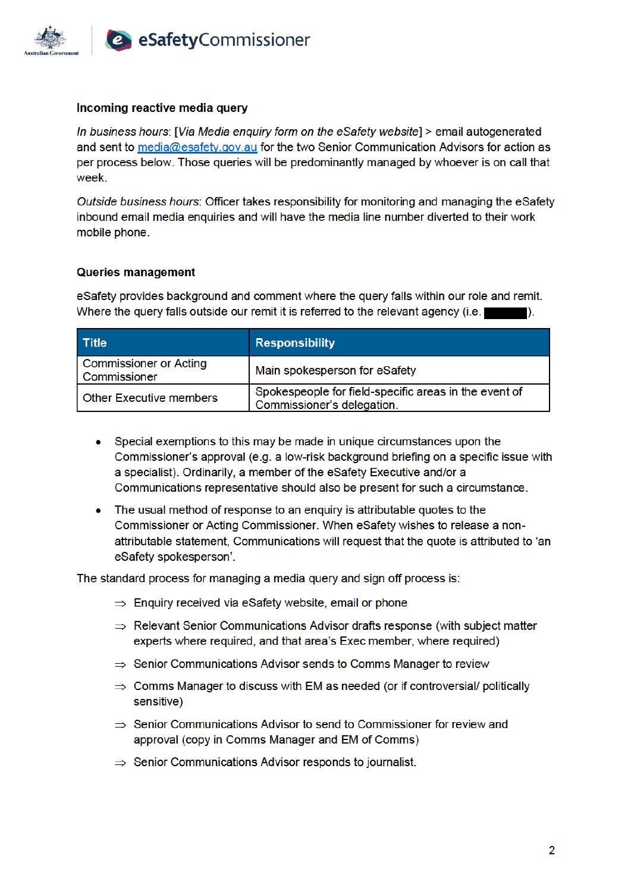

## Incoming reactive media query

In business hours: [Via Media enquiry form on the eSafety website] > email autogenerated and sent to media@esafety.gov.au for the two Senior Communication Advisors for action as per process below. Those queries will be predominantly managed by whoever is on call that week.

Outside business hours: Officer takes responsibility for monitoring and managing the eSafety inbound email media enquiries and will have the media line number diverted to their work mobile phone.

### **Queries management**

eSafety provides background and comment where the query falls within our role and remit. Where the query falls outside our remit it is referred to the relevant agency (i.e.)

| <b>Title</b>                                  | <b>Responsibility</b>                                                               |
|-----------------------------------------------|-------------------------------------------------------------------------------------|
| <b>Commissioner or Acting</b><br>Commissioner | Main spokesperson for eSafety                                                       |
| <b>Other Executive members</b>                | Spokespeople for field-specific areas in the event of<br>Commissioner's delegation. |

- Special exemptions to this may be made in unique circumstances upon the Commissioner's approval (e.g. a low-risk background briefing on a specific issue with a specialist). Ordinarily, a member of the eSafety Executive and/or a Communications representative should also be present for such a circumstance.
- The usual method of response to an enquiry is attributable quotes to the Commissioner or Acting Commissioner. When eSafety wishes to release a nonattributable statement, Communications will request that the quote is attributed to 'an eSafety spokesperson'.

The standard process for managing a media query and sign off process is:

- $\Rightarrow$  Enquiry received via eSafety website, email or phone
- $\Rightarrow$  Relevant Senior Communications Advisor drafts response (with subject matter experts where required, and that area's Exec member, where required)
- $\Rightarrow$  Senior Communications Advisor sends to Comms Manager to review
- $\Rightarrow$  Comms Manager to discuss with EM as needed (or if controversial/ politically sensitive)
- $\Rightarrow$  Senior Communications Advisor to send to Commissioner for review and approval (copy in Comms Manager and EM of Comms)
- $\Rightarrow$  Senior Communications Advisor responds to journalist.